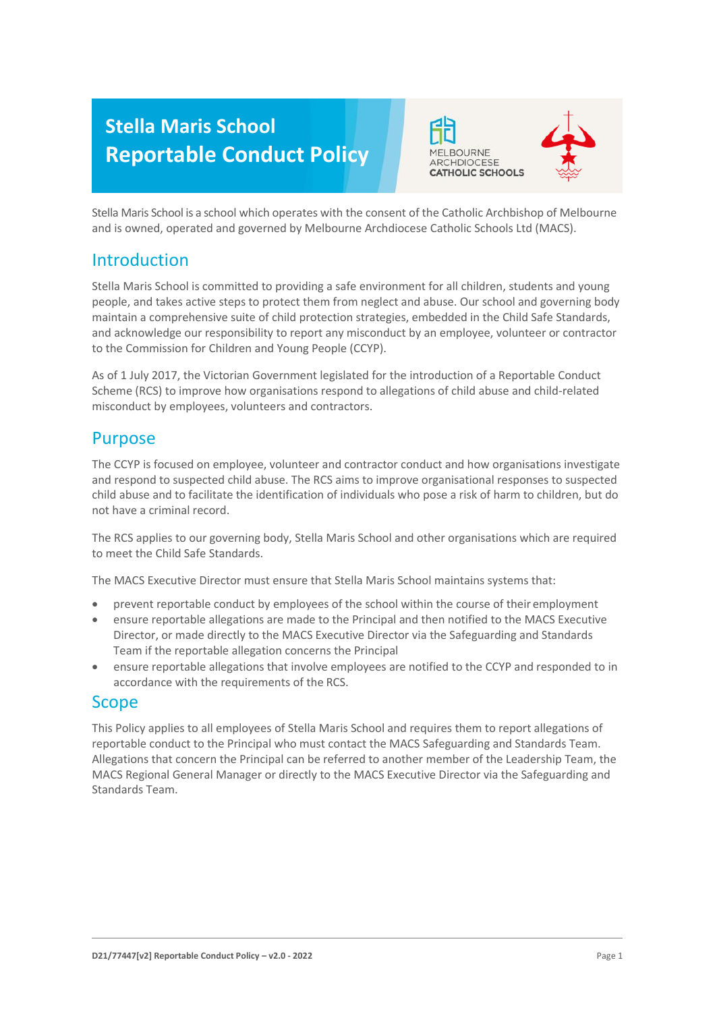# **Stella Maris School Reportable Conduct Policy**



Stella Maris School is a school which operates with the consent of the Catholic Archbishop of Melbourne and is owned, operated and governed by Melbourne Archdiocese Catholic Schools Ltd (MACS).

# Introduction

Stella Maris School is committed to providing a safe environment for all children, students and young people, and takes active steps to protect them from neglect and abuse. Our school and governing body maintain a comprehensive suite of child protection strategies, embedded in the Child Safe Standards, and acknowledge our responsibility to report any misconduct by an employee, volunteer or contractor to the Commission for Children and Young People (CCYP).

As of 1 July 2017, the Victorian Government legislated for the introduction of a Reportable Conduct Scheme (RCS) to improve how organisations respond to allegations of child abuse and child-related misconduct by employees, volunteers and contractors.

# Purpose

The CCYP is focused on employee, volunteer and contractor conduct and how organisations investigate and respond to suspected child abuse. The RCS aims to improve organisational responses to suspected child abuse and to facilitate the identification of individuals who pose a risk of harm to children, but do not have a criminal record.

The RCS applies to our governing body, Stella Maris School and other organisations which are required to meet the Child Safe Standards.

The MACS Executive Director must ensure that Stella Maris School maintains systems that:

- prevent reportable conduct by employees of the school within the course of their employment
- ensure reportable allegations are made to the Principal and then notified to the MACS Executive Director, or made directly to the MACS Executive Director via the Safeguarding and Standards Team if the reportable allegation concerns the Principal
- ensure reportable allegations that involve employees are notified to the CCYP and responded to in accordance with the requirements of the RCS.

## Scope

This Policy applies to all employees of Stella Maris School and requires them to report allegations of reportable conduct to the Principal who must contact the MACS Safeguarding and Standards Team. Allegations that concern the Principal can be referred to another member of the Leadership Team, the MACS Regional General Manager or directly to the MACS Executive Director via the Safeguarding and Standards Team.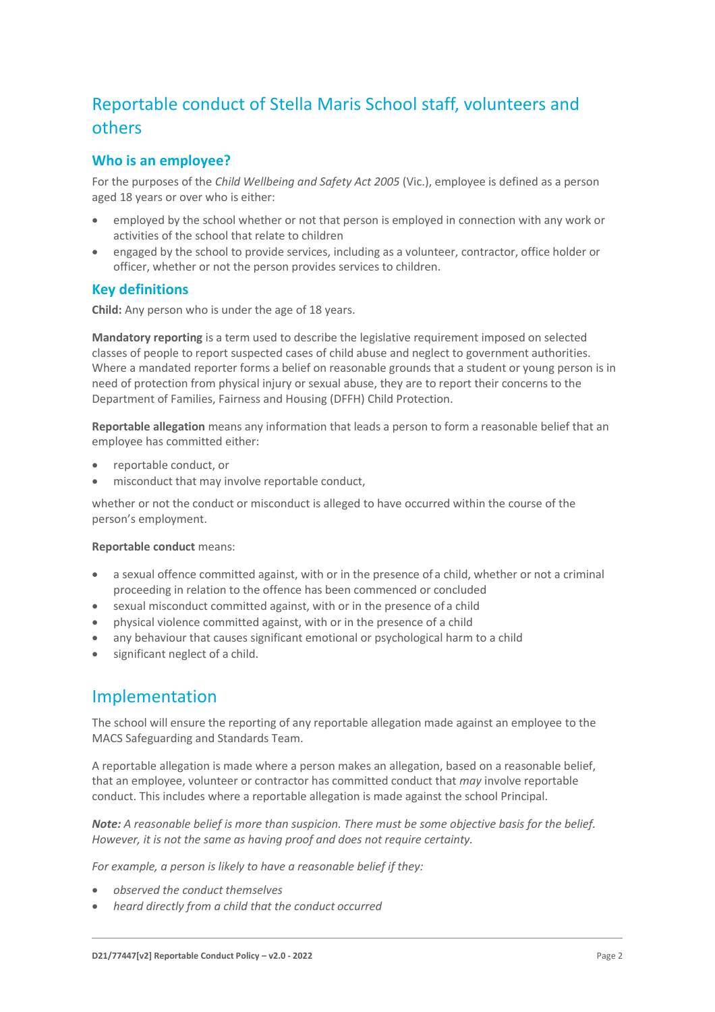# Reportable conduct of Stella Maris School staff, volunteers and others

## **Who is an employee?**

For the purposes of the *Child Wellbeing and Safety Act 2005* (Vic.), employee is defined as a person aged 18 years or over who is either:

- employed by the school whether or not that person is employed in connection with any work or activities of the school that relate to children
- engaged by the school to provide services, including as a volunteer, contractor, office holder or officer, whether or not the person provides services to children.

## **Key definitions**

**Child:** Any person who is under the age of 18 years.

**Mandatory reporting** is a term used to describe the legislative requirement imposed on selected classes of people to report suspected cases of child abuse and neglect to government authorities. Where a mandated reporter forms a belief on reasonable grounds that a student or young person is in need of protection from physical injury or sexual abuse, they are to report their concerns to the Department of Families, Fairness and Housing (DFFH) Child Protection.

**Reportable allegation** means any information that leads a person to form a reasonable belief that an employee has committed either:

- reportable conduct, or
- misconduct that may involve reportable conduct,

whether or not the conduct or misconduct is alleged to have occurred within the course of the person's employment.

#### **Reportable conduct** means:

- a sexual offence committed against, with or in the presence of a child, whether or not a criminal proceeding in relation to the offence has been commenced or concluded
- sexual misconduct committed against, with or in the presence of a child
- physical violence committed against, with or in the presence of a child
- any behaviour that causes significant emotional or psychological harm to a child
- significant neglect of a child.

## Implementation

The school will ensure the reporting of any reportable allegation made against an employee to the MACS Safeguarding and Standards Team.

A reportable allegation is made where a person makes an allegation, based on a reasonable belief, that an employee, volunteer or contractor has committed conduct that *may* involve reportable conduct. This includes where a reportable allegation is made against the school Principal.

*Note: A reasonable belief is more than suspicion. There must be some objective basis for the belief. However, it is not the same as having proof and does not require certainty.*

*For example, a person is likely to have a reasonable belief if they:*

- *observed the conduct themselves*
- *heard directly from a child that the conduct occurred*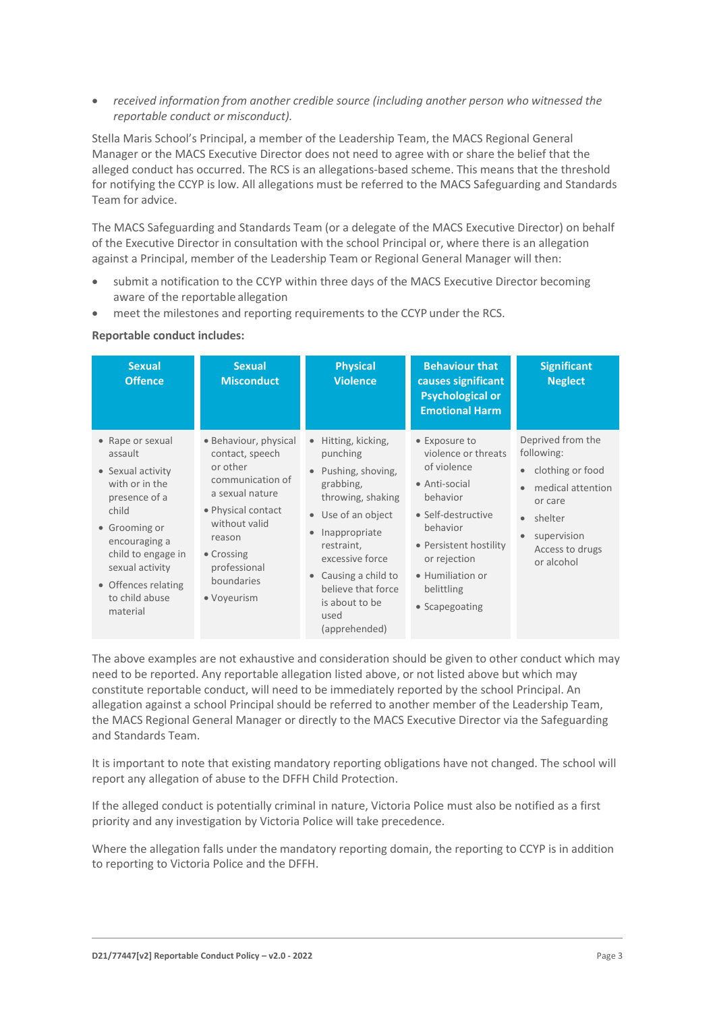• *received information from another credible source (including another person who witnessed the reportable conduct or misconduct).*

Stella Maris School's Principal, a member of the Leadership Team, the MACS Regional General Manager or the MACS Executive Director does not need to agree with or share the belief that the alleged conduct has occurred. The RCS is an allegations-based scheme. This means that the threshold for notifying the CCYP is low. All allegations must be referred to the MACS Safeguarding and Standards Team for advice.

The MACS Safeguarding and Standards Team (or a delegate of the MACS Executive Director) on behalf of the Executive Director in consultation with the school Principal or, where there is an allegation against a Principal, member of the Leadership Team or Regional General Manager will then:

- submit a notification to the CCYP within three days of the MACS Executive Director becoming aware of the reportable allegation
- meet the milestones and reporting requirements to the CCYP under the RCS.

#### **Reportable conduct includes:**

| <b>Sexual</b><br><b>Offence</b>                                                                                                                                                                                              | <b>Sexual</b><br><b>Misconduct</b>                                                                                                                                                                      | <b>Physical</b><br><b>Violence</b>                                                                                                                                                                                                                               | <b>Behaviour that</b><br>causes significant<br><b>Psychological or</b><br><b>Emotional Harm</b>                                                                                                                  | <b>Significant</b><br><b>Neglect</b>                                                                                                                        |
|------------------------------------------------------------------------------------------------------------------------------------------------------------------------------------------------------------------------------|---------------------------------------------------------------------------------------------------------------------------------------------------------------------------------------------------------|------------------------------------------------------------------------------------------------------------------------------------------------------------------------------------------------------------------------------------------------------------------|------------------------------------------------------------------------------------------------------------------------------------------------------------------------------------------------------------------|-------------------------------------------------------------------------------------------------------------------------------------------------------------|
| • Rape or sexual<br>assault<br>• Sexual activity<br>with or in the<br>presence of a<br>child<br>• Grooming or<br>encouraging a<br>child to engage in<br>sexual activity<br>• Offences relating<br>to child abuse<br>material | • Behaviour, physical<br>contact, speech<br>or other<br>communication of<br>a sexual nature<br>• Physical contact<br>without valid<br>reason<br>• Crossing<br>professional<br>boundaries<br>• Voyeurism | Hitting, kicking,<br>$\bullet$<br>punching<br>Pushing, shoving,<br>grabbing,<br>throwing, shaking<br>• Use of an object<br>Inappropriate<br>restraint,<br>excessive force<br>Causing a child to<br>believe that force<br>is about to be<br>used<br>(apprehended) | • Exposure to<br>violence or threats<br>of violence<br>• Anti-social<br>behavior<br>• Self-destructive<br>behavior<br>• Persistent hostility<br>or rejection<br>• Humiliation or<br>belittling<br>• Scapegoating | Deprived from the<br>following:<br>clothing or food<br>$\bullet$<br>medical attention<br>or care<br>shelter<br>supervision<br>Access to drugs<br>or alcohol |

The above examples are not exhaustive and consideration should be given to other conduct which may need to be reported. Any reportable allegation listed above, or not listed above but which may constitute reportable conduct, will need to be immediately reported by the school Principal. An allegation against a school Principal should be referred to another member of the Leadership Team, the MACS Regional General Manager or directly to the MACS Executive Director via the Safeguarding and Standards Team.

It is important to note that existing mandatory reporting obligations have not changed. The school will report any allegation of abuse to the DFFH Child Protection.

If the alleged conduct is potentially criminal in nature, Victoria Police must also be notified as a first priority and any investigation by Victoria Police will take precedence.

Where the allegation falls under the mandatory reporting domain, the reporting to CCYP is in addition to reporting to Victoria Police and the DFFH.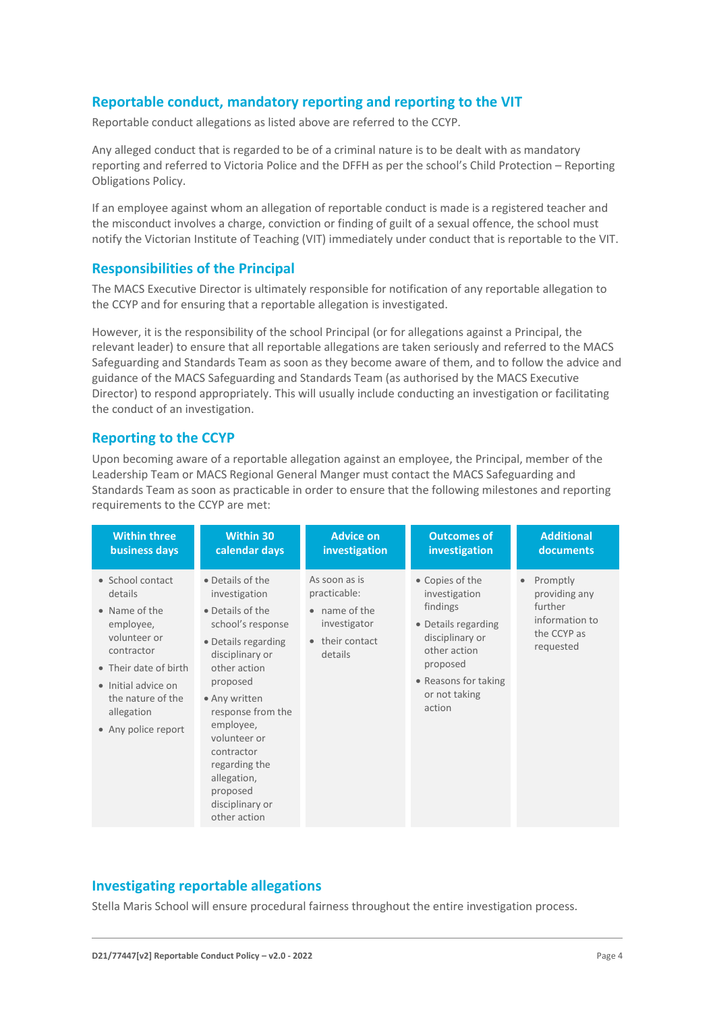## **Reportable conduct, mandatory reporting and reporting to the VIT**

Reportable conduct allegations as listed above are referred to the CCYP.

Any alleged conduct that is regarded to be of a criminal nature is to be dealt with as mandatory reporting and referred to Victoria Police and the DFFH as per the school's Child Protection – Reporting Obligations Policy.

If an employee against whom an allegation of reportable conduct is made is a registered teacher and the misconduct involves a charge, conviction or finding of guilt of a sexual offence, the school must notify the Victorian Institute of Teaching (VIT) immediately under conduct that is reportable to the VIT.

## **Responsibilities of the Principal**

The MACS Executive Director is ultimately responsible for notification of any reportable allegation to the CCYP and for ensuring that a reportable allegation is investigated.

However, it is the responsibility of the school Principal (or for allegations against a Principal, the relevant leader) to ensure that all reportable allegations are taken seriously and referred to the MACS Safeguarding and Standards Team as soon as they become aware of them, and to follow the advice and guidance of the MACS Safeguarding and Standards Team (as authorised by the MACS Executive Director) to respond appropriately. This will usually include conducting an investigation or facilitating the conduct of an investigation.

## **Reporting to the CCYP**

Upon becoming aware of a reportable allegation against an employee, the Principal, member of the Leadership Team or MACS Regional General Manger must contact the MACS Safeguarding and Standards Team as soon as practicable in order to ensure that the following milestones and reporting requirements to the CCYP are met:

| <b>Within three</b>                                                                                                                                                                               | <b>Within 30</b>                                                                                                                                                                                                                                                                                                 | <b>Advice on</b>                                                                                     | <b>Outcomes of</b>                                                                                                                                                    | <b>Additional</b>                                                                               |
|---------------------------------------------------------------------------------------------------------------------------------------------------------------------------------------------------|------------------------------------------------------------------------------------------------------------------------------------------------------------------------------------------------------------------------------------------------------------------------------------------------------------------|------------------------------------------------------------------------------------------------------|-----------------------------------------------------------------------------------------------------------------------------------------------------------------------|-------------------------------------------------------------------------------------------------|
| business days                                                                                                                                                                                     | calendar days                                                                                                                                                                                                                                                                                                    | investigation                                                                                        | investigation                                                                                                                                                         | documents                                                                                       |
| • School contact<br>details<br>• Name of the<br>employee,<br>volunteer or<br>contractor<br>• Their date of birth<br>• Initial advice on<br>the nature of the<br>allegation<br>• Any police report | • Details of the<br>investigation<br>• Details of the<br>school's response<br>• Details regarding<br>disciplinary or<br>other action<br>proposed<br>• Any written<br>response from the<br>employee,<br>volunteer or<br>contractor<br>regarding the<br>allegation,<br>proposed<br>disciplinary or<br>other action | As soon as is<br>practicable:<br>$\bullet$ name of the<br>investigator<br>• their contact<br>details | • Copies of the<br>investigation<br>findings<br>• Details regarding<br>disciplinary or<br>other action<br>proposed<br>• Reasons for taking<br>or not taking<br>action | Promptly<br>$\bullet$<br>providing any<br>further<br>information to<br>the CCYP as<br>requested |

## **Investigating reportable allegations**

Stella Maris School will ensure procedural fairness throughout the entire investigation process.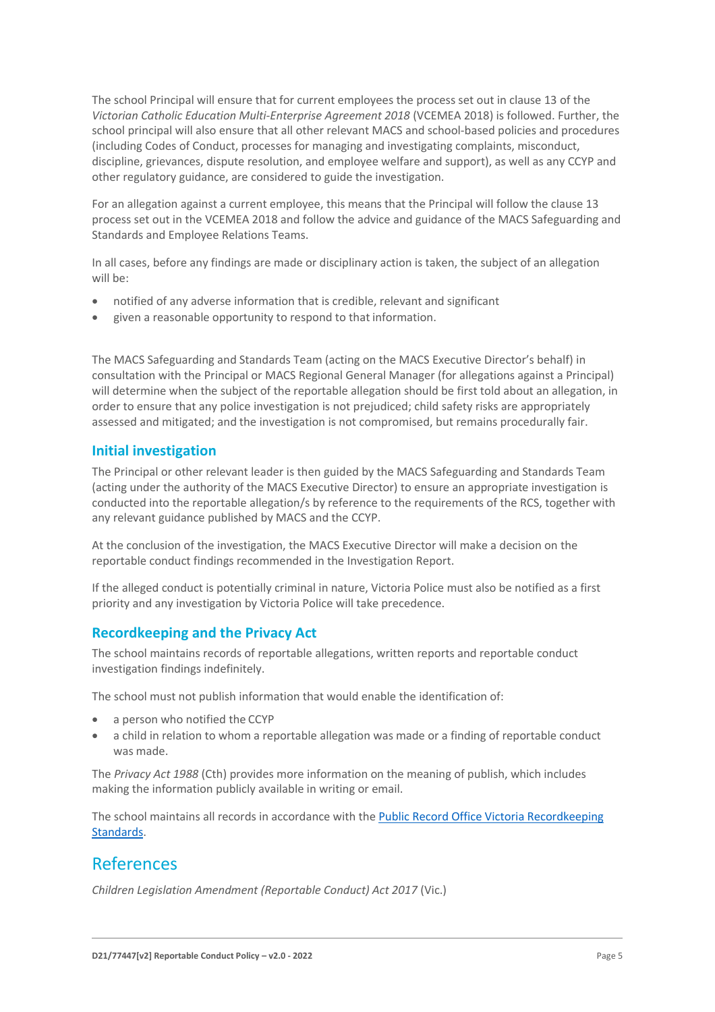The school Principal will ensure that for current employees the process set out in clause 13 of the *Victorian Catholic Education Multi-Enterprise Agreement 2018* (VCEMEA 2018) is followed. Further, the school principal will also ensure that all other relevant MACS and school-based policies and procedures (including Codes of Conduct, processes for managing and investigating complaints, misconduct, discipline, grievances, dispute resolution, and employee welfare and support), as well as any CCYP and other regulatory guidance, are considered to guide the investigation.

For an allegation against a current employee, this means that the Principal will follow the clause 13 process set out in the VCEMEA 2018 and follow the advice and guidance of the MACS Safeguarding and Standards and Employee Relations Teams.

In all cases, before any findings are made or disciplinary action is taken, the subject of an allegation will be:

- notified of any adverse information that is credible, relevant and significant
- given a reasonable opportunity to respond to that information.

The MACS Safeguarding and Standards Team (acting on the MACS Executive Director's behalf) in consultation with the Principal or MACS Regional General Manager (for allegations against a Principal) will determine when the subject of the reportable allegation should be first told about an allegation, in order to ensure that any police investigation is not prejudiced; child safety risks are appropriately assessed and mitigated; and the investigation is not compromised, but remains procedurally fair.

## **Initial investigation**

The Principal or other relevant leader is then guided by the MACS Safeguarding and Standards Team (acting under the authority of the MACS Executive Director) to ensure an appropriate investigation is conducted into the reportable allegation/s by reference to the requirements of the RCS, together with any relevant guidance published by MACS and the CCYP.

At the conclusion of the investigation, the MACS Executive Director will make a decision on the reportable conduct findings recommended in the Investigation Report.

If the alleged conduct is potentially criminal in nature, Victoria Police must also be notified as a first priority and any investigation by Victoria Police will take precedence.

## **Recordkeeping and the Privacy Act**

The school maintains records of reportable allegations, written reports and reportable conduct investigation findings indefinitely.

The school must not publish information that would enable the identification of:

- a person who notified the CCYP
- a child in relation to whom a reportable allegation was made or a finding of reportable conduct was made.

The *Privacy Act 1988* (Cth) provides more information on the meaning of publish, which includes making the information publicly available in writing or email.

The school maintains all records in accordance with the [Public Record Office Victoria Recordkeeping](https://prov.vic.gov.au/recordkeeping-government/standards-framework)  [Standards.](https://prov.vic.gov.au/recordkeeping-government/standards-framework)

## References

*Children Legislation Amendment (Reportable Conduct) Act 2017* (Vic.)